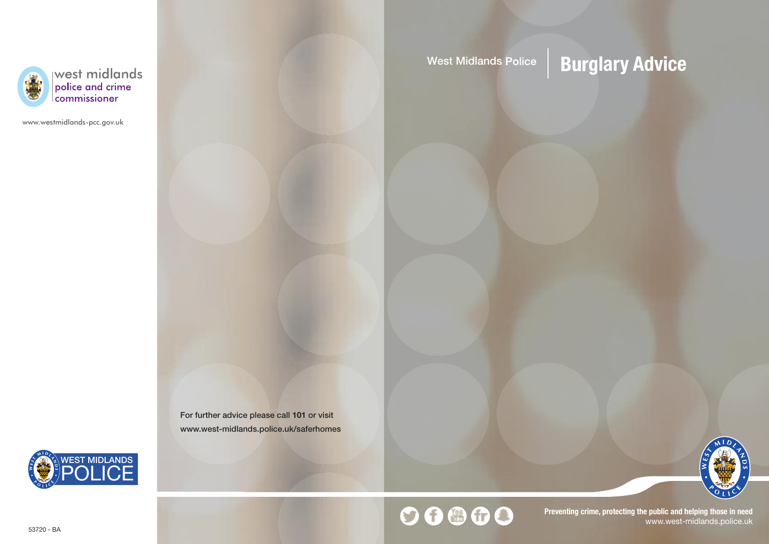

west midlands<br>police and crime<br>commissioner

www.westmidlands-pcc.gov.uk

West Midlands Police | **Burglary Advice** 

For further advice please call **101** or visit www.west-midlands.police.uk/saferhomes





# $00000$

**Preventing crime, protecting the public and helping those in need** www.west-midlands.police.uk